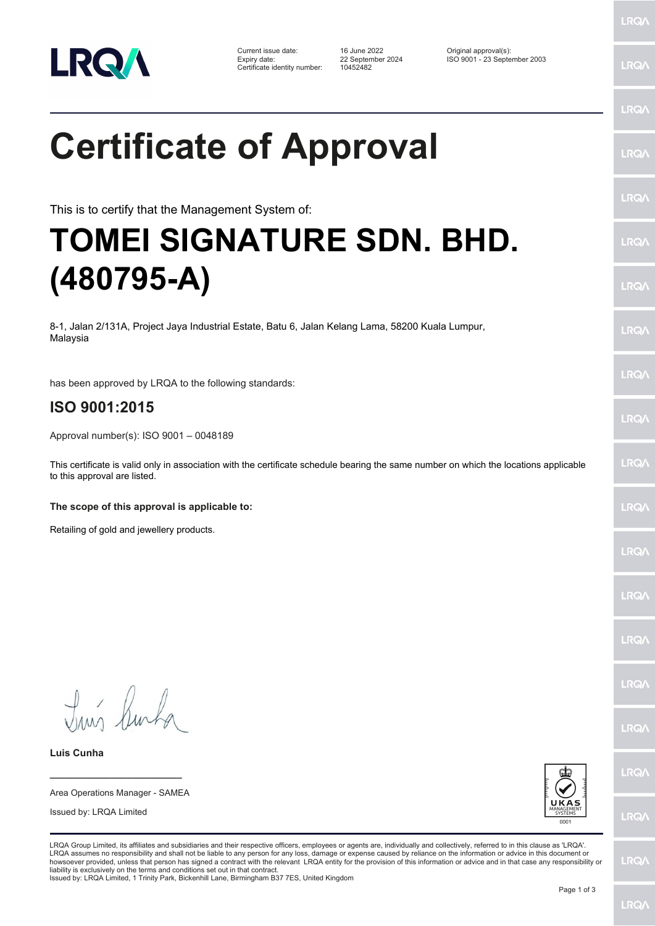

Certificate identity number: 10452482

Current issue date: 16 June 2022 Original approval(s): Expiry date: 22 September 2024 ISO 9001 - 23 September 2003

LRQ/

LRQ/

## LRQ/ **Certificate of Approval** LRQ/ LRQ/ This is to certify that the Management System of: **TOMEI SIGNATURE SDN. BHD.**  LRQ/ **(480795-A)** LRQ/ 8-1, Jalan 2/131A, Project Jaya Industrial Estate, Batu 6, Jalan Kelang Lama, 58200 Kuala Lumpur, LRQ/ Malaysia **LRQA** has been approved by LRQA to the following standards: **ISO 9001:2015** LRQ/ Approval number(s): ISO 9001 – 0048189 LRQ/ This certificate is valid only in association with the certificate schedule bearing the same number on which the locations applicable to this approval are listed. **The scope of this approval is applicable to:** LRQ/ Retailing of gold and jewellery products.LRQ/ **LRQ/** LRQ/ **IRQA** Tuns Burka LRQ/ **Luis Cunha** LRQ/ **\_\_\_\_\_\_\_\_\_\_\_\_\_\_\_\_\_\_\_\_\_\_\_\_** Area Operations Manager - SAMEA Issued by: LRQA Limited LRQ/ LRQA Group Limited, its affiliates and subsidiaries and their respective officers, employees or agents are, individually and collectively, referred to in this clause as 'LRQA'. LRQA assumes no responsibility and shall not be liable to any person for any loss, damage or expense caused by reliance on the information or advice in this document or<br>howsoever provided, unless that person has signed a c LRQ/ liability is exclusively on the terms and conditions set out in that contract. Issued by: LRQA Limited, 1 Trinity Park, Bickenhill Lane, Birmingham B37 7ES, United Kingdom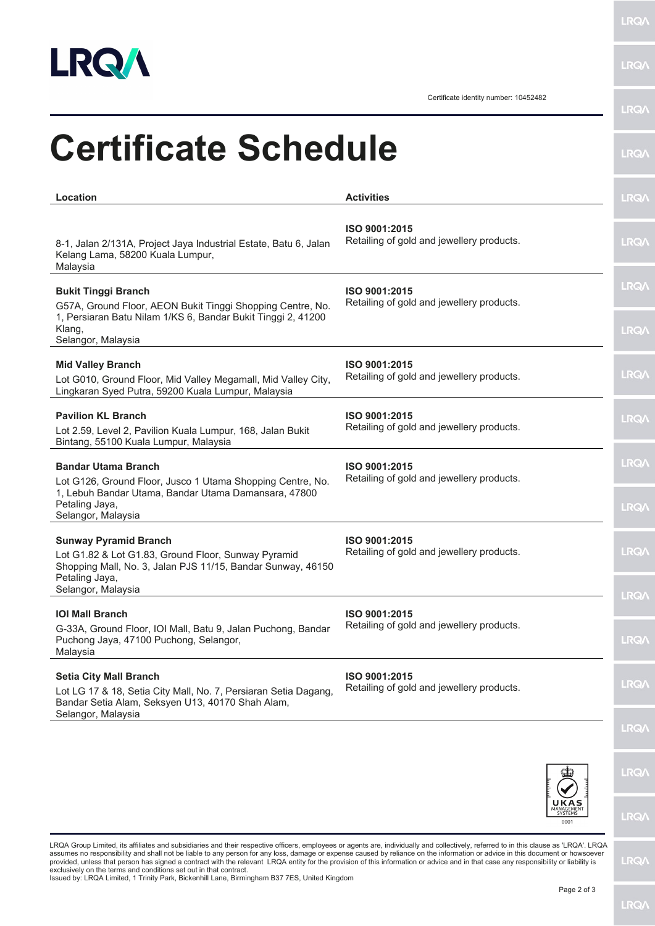

**LRQA** 

Certificate identity number: 10452482

|                                                                                                                                                                            |                                                            | <b>LRQ/</b>  |
|----------------------------------------------------------------------------------------------------------------------------------------------------------------------------|------------------------------------------------------------|--------------|
| <b>Certificate Schedule</b>                                                                                                                                                |                                                            | <b>LRQ/\</b> |
| Location                                                                                                                                                                   | <b>Activities</b>                                          | <b>LRQA</b>  |
| 8-1, Jalan 2/131A, Project Jaya Industrial Estate, Batu 6, Jalan<br>Kelang Lama, 58200 Kuala Lumpur,<br>Malaysia                                                           | ISO 9001:2015<br>Retailing of gold and jewellery products. | <b>LRQA</b>  |
| <b>Bukit Tinggi Branch</b><br>G57A, Ground Floor, AEON Bukit Tinggi Shopping Centre, No.<br>1, Persiaran Batu Nilam 1/KS 6, Bandar Bukit Tinggi 2, 41200                   | ISO 9001:2015<br>Retailing of gold and jewellery products. | <b>LRQ/</b>  |
| Klang,<br>Selangor, Malaysia                                                                                                                                               |                                                            | <b>LRQA</b>  |
| <b>Mid Valley Branch</b><br>Lot G010, Ground Floor, Mid Valley Megamall, Mid Valley City,<br>Lingkaran Syed Putra, 59200 Kuala Lumpur, Malaysia                            | ISO 9001:2015<br>Retailing of gold and jewellery products. | <b>LRQA</b>  |
| <b>Pavilion KL Branch</b><br>Lot 2.59, Level 2, Pavilion Kuala Lumpur, 168, Jalan Bukit<br>Bintang, 55100 Kuala Lumpur, Malaysia                                           | ISO 9001:2015<br>Retailing of gold and jewellery products. | <b>LRQ/</b>  |
| <b>Bandar Utama Branch</b><br>Lot G126, Ground Floor, Jusco 1 Utama Shopping Centre, No.<br>1, Lebuh Bandar Utama, Bandar Utama Damansara, 47800                           | ISO 9001:2015<br>Retailing of gold and jewellery products. | <b>LRQA</b>  |
| Petaling Jaya,<br>Selangor, Malaysia                                                                                                                                       |                                                            | <b>LRQA</b>  |
| <b>Sunway Pyramid Branch</b><br>Lot G1.82 & Lot G1.83, Ground Floor, Sunway Pyramid<br>Shopping Mall, No. 3, Jalan PJS 11/15, Bandar Sunway, 46150                         | ISO 9001:2015<br>Retailing of gold and jewellery products. | <b>LRQ/</b>  |
| Petaling Jaya,<br>Selangor, Malaysia                                                                                                                                       |                                                            | LRQ/         |
| <b>IOI Mall Branch</b><br>G-33A, Ground Floor, IOI Mall, Batu 9, Jalan Puchong, Bandar<br>Puchong Jaya, 47100 Puchong, Selangor,<br>Malaysia                               | ISO 9001:2015<br>Retailing of gold and jewellery products. | <b>LRQ/</b>  |
| <b>Setia City Mall Branch</b><br>Lot LG 17 & 18, Setia City Mall, No. 7, Persiaran Setia Dagang,<br>Bandar Setia Alam, Seksyen U13, 40170 Shah Alam,<br>Selangor, Malaysia | ISO 9001:2015<br>Retailing of gold and jewellery products. | <b>LRQA</b>  |
|                                                                                                                                                                            |                                                            | <b>LRQ/</b>  |



LRQA Group Limited, its affiliates and subsidiaries and their respective officers, employees or agents are, individually and collectively, referred to in this clause as 'LRQA'. LRQA<br>provided, unless that person has signed

**LRQA** 

**LRQA** 

**LRQA**